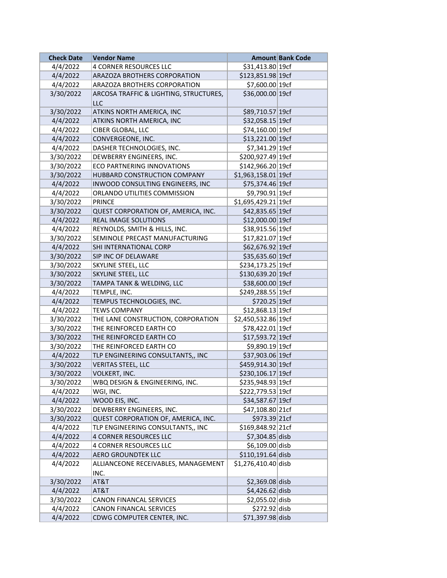| <b>Check Date</b> | <b>Vendor Name</b>                     |                      | <b>Amount Bank Code</b> |
|-------------------|----------------------------------------|----------------------|-------------------------|
| 4/4/2022          | 4 CORNER RESOURCES LLC                 | \$31,413.80 19cf     |                         |
| 4/4/2022          | ARAZOZA BROTHERS CORPORATION           | \$123,851.98 19cf    |                         |
| 4/4/2022          | ARAZOZA BROTHERS CORPORATION           | \$7,600.00 19cf      |                         |
| 3/30/2022         | ARCOSA TRAFFIC & LIGHTING, STRUCTURES, | \$36,000.00 19cf     |                         |
|                   | LLC                                    |                      |                         |
| 3/30/2022         | ATKINS NORTH AMERICA, INC              | \$89,710.57 19cf     |                         |
| 4/4/2022          | ATKINS NORTH AMERICA, INC              | \$32,058.15 19cf     |                         |
| 4/4/2022          | CIBER GLOBAL, LLC                      | \$74,160.00 19cf     |                         |
| 4/4/2022          | CONVERGEONE, INC.                      | \$13,221.00 19cf     |                         |
| 4/4/2022          | DASHER TECHNOLOGIES, INC.              | \$7,341.29 19cf      |                         |
| 3/30/2022         | DEWBERRY ENGINEERS, INC.               | \$200,927.49 19cf    |                         |
| 3/30/2022         | <b>ECO PARTNERING INNOVATIONS</b>      | \$142,966.20 19cf    |                         |
| 3/30/2022         | HUBBARD CONSTRUCTION COMPANY           | $$1,963,158.01$ 19cf |                         |
| 4/4/2022          | INWOOD CONSULTING ENGINEERS, INC.      | \$75,374.46 19cf     |                         |
| 4/4/2022          | ORLANDO UTILITIES COMMISSION           | \$9,790.91 19cf      |                         |
| 3/30/2022         | <b>PRINCE</b>                          | \$1,695,429.21 19cf  |                         |
| 3/30/2022         | QUEST CORPORATION OF, AMERICA, INC.    | \$42,835.65 19cf     |                         |
| 4/4/2022          | REAL IMAGE SOLUTIONS                   | \$12,000.00 19cf     |                         |
| 4/4/2022          | REYNOLDS, SMITH & HILLS, INC.          | \$38,915.56 19cf     |                         |
| 3/30/2022         | SEMINOLE PRECAST MANUFACTURING         | \$17,821.07 19cf     |                         |
| 4/4/2022          | SHI INTERNATIONAL CORP                 | \$62,676.92 19cf     |                         |
| 3/30/2022         | SIP INC OF DELAWARE                    | \$35,635.60 19cf     |                         |
| 3/30/2022         | SKYLINE STEEL, LLC                     | \$234,173.25 19cf    |                         |
| 3/30/2022         | SKYLINE STEEL, LLC                     | \$130,639.20 19cf    |                         |
| 3/30/2022         | TAMPA TANK & WELDING, LLC              | \$38,600.00 19cf     |                         |
| 4/4/2022          | TEMPLE, INC.                           | \$249,288.55 19cf    |                         |
| 4/4/2022          | TEMPUS TECHNOLOGIES, INC.              | \$720.25 19cf        |                         |
| 4/4/2022          | <b>TEWS COMPANY</b>                    | \$12,868.13 19cf     |                         |
| 3/30/2022         | THE LANE CONSTRUCTION, CORPORATION     | \$2,450,532.86 19cf  |                         |
| 3/30/2022         | THE REINFORCED EARTH CO                | \$78,422.01 19cf     |                         |
| 3/30/2022         | THE REINFORCED EARTH CO                | \$17,593.72 19cf     |                         |
| 3/30/2022         | THE REINFORCED EARTH CO                | \$9,890.19 19cf      |                         |
| 4/4/2022          | TLP ENGINEERING CONSULTANTS,, INC      | \$37,903.06 19cf     |                         |
| 3/30/2022         | VERITAS STEEL, LLC                     | \$459,914.30 19cf    |                         |
| 3/30/2022         | VOLKERT, INC.                          | \$230,106.17 19cf    |                         |
| 3/30/2022         | WBQ DESIGN & ENGINEERING, INC.         | \$235,948.93 19cf    |                         |
| 4/4/2022          | WGI, INC.                              | \$222,779.53 19cf    |                         |
| 4/4/2022          | WOOD EIS, INC.                         | \$34,587.67 19cf     |                         |
| 3/30/2022         | DEWBERRY ENGINEERS, INC.               | \$47,108.80 21cf     |                         |
| 3/30/2022         | QUEST CORPORATION OF, AMERICA, INC.    | \$973.39 21cf        |                         |
| 4/4/2022          | TLP ENGINEERING CONSULTANTS,, INC      | \$169,848.92 21cf    |                         |
| 4/4/2022          | <b>4 CORNER RESOURCES LLC</b>          | $$7,304.85$ disb     |                         |
| 4/4/2022          | 4 CORNER RESOURCES LLC                 | \$6,109.00 disb      |                         |
| 4/4/2022          | <b>AERO GROUNDTEK LLC</b>              | $$110,191.64$ disb   |                         |
| 4/4/2022          | ALLIANCEONE RECEIVABLES, MANAGEMENT    | \$1,276,410.40 disb  |                         |
|                   | INC.                                   |                      |                         |
| 3/30/2022         | AT&T                                   | $$2,369.08$ disb     |                         |
| 4/4/2022          | AT&T                                   | $$4,426.62$ disb     |                         |
| 3/30/2022         | CANON FINANCAL SERVICES                | $$2,055.02$ disb     |                         |
| 4/4/2022          | CANON FINANCAL SERVICES                | $$272.92$ disb       |                         |
| 4/4/2022          | CDWG COMPUTER CENTER, INC.             | \$71,397.98 disb     |                         |
|                   |                                        |                      |                         |